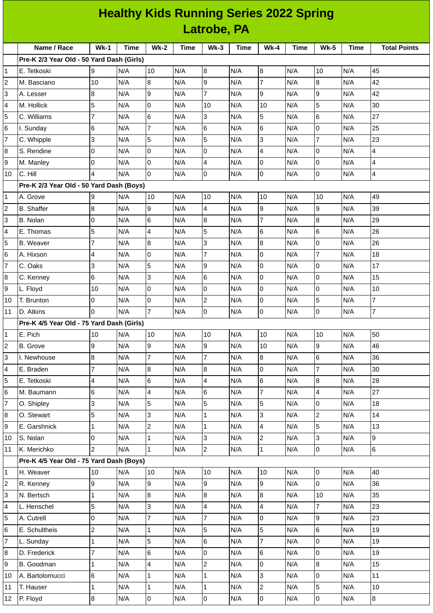| <b>Healthy Kids Running Series 2022 Spring</b> |                                           |                |             |                 |             |                 |             |                     |             |                |             |                     |
|------------------------------------------------|-------------------------------------------|----------------|-------------|-----------------|-------------|-----------------|-------------|---------------------|-------------|----------------|-------------|---------------------|
|                                                | Latrobe, PA                               |                |             |                 |             |                 |             |                     |             |                |             |                     |
|                                                | Name / Race                               | $Wk-1$         | <b>Time</b> | <b>Wk-2</b>     | <b>Time</b> | $Wk-3$          | <b>Time</b> | $Wk-4$              | <b>Time</b> | <b>Wk-5</b>    | <b>Time</b> | <b>Total Points</b> |
|                                                | Pre-K 2/3 Year Old - 50 Yard Dash (Girls) |                |             |                 |             |                 |             |                     |             |                |             |                     |
| 1                                              | E. Tetkoski                               | 9              | N/A         | 10              | N/A         | 8               | N/A         | $\overline{8}$      | N/A         | 10             | N/A         | 45                  |
| 2                                              | M. Basciano                               | 10             | N/A         | 8               | N/A         | $\overline{9}$  | N/A         | $\overline{7}$      | N/A         | 8              | N/A         | 42                  |
| 3                                              | A. Lesser                                 | 8              | N/A         | 9               | N/A         | $\overline{7}$  | N/A         | 9                   | N/A         | $\overline{9}$ | N/A         | 42                  |
| 4                                              | M. Hollick                                | 5              | N/A         | 0               | N/A         | 10              | N/A         | 10                  | N/A         | 5              | N/A         | 30                  |
| 5                                              | C. Williams                               | 7              | N/A         | $6\phantom{.}6$ | N/A         | 3               | N/A         | 5                   | N/A         | $6\phantom{1}$ | N/A         | 27                  |
| 6                                              | I. Sunday                                 | 6              | N/A         | $\overline{7}$  | N/A         | $6\phantom{1}6$ | N/A         | $6\phantom{1}$      | N/A         | $\overline{0}$ | N/A         | 25                  |
| $\overline{7}$                                 | C. Whipple                                | 3              | N/A         | 5               | N/A         | 5               | N/A         | 3                   | N/A         | $\overline{7}$ | N/A         | 23                  |
| 8                                              | S. Rendine                                | 0              | N/A         | O               | N/A         | $\overline{0}$  | N/A         | 4                   | N/A         | $\overline{0}$ | N/A         | $\overline{4}$      |
| 9                                              | M. Manley                                 | $\overline{0}$ | N/A         | Iо              | N/A         | 4               | N/A         | $\mathbf 0$         | N/A         | l0             | N/A         | 4                   |
| 10                                             | C. Hill                                   | 4              | N/A         | 0               | N/A         | $\overline{0}$  | N/A         | 0                   | N/A         | lo             | N/A         | $\overline{4}$      |
|                                                | Pre-K 2/3 Year Old - 50 Yard Dash (Boys)  |                |             |                 |             |                 |             |                     |             |                |             |                     |
| 1                                              | A. Grove                                  | 9              | N/A         | 10              | N/A         | 10              | N/A         | 10                  | N/A         | 10             | N/A         | 49                  |
| 2                                              | <b>B.</b> Shaffer                         | 8              | N/A         | 9               | N/A         | 4               | N/A         | 9                   | N/A         | 9              | N/A         | 39                  |
| 3                                              | B. Nolan                                  | O              | N/A         | 6               | N/A         | 8               | N/A         | $\overline{7}$      | N/A         | 8              | N/A         | 29                  |
| 4                                              | E. Thomas                                 | 5              | N/A         | $\overline{4}$  | N/A         | 5               | N/A         | 6                   | N/A         | $6\phantom{a}$ | N/A         | 26                  |
| 5                                              | <b>B.</b> Weaver                          | 7              | N/A         | $\overline{8}$  | N/A         | 3               | N/A         | 8                   | N/A         | $\overline{0}$ | N/A         | 26                  |
| 6                                              | A. Hixson                                 | 4              | N/A         | O               | N/A         | $\overline{7}$  | N/A         | $\mathbf 0$         | N/A         | $\overline{7}$ | N/A         | 18                  |
| 7                                              | C. Oaks                                   | 3              | N/A         | 5               | N/A         | 9               | N/A         | 0                   | N/A         | l0             | N/A         | 17                  |
| 8                                              | C. Kenney                                 | 6              | N/A         | $\overline{3}$  | N/A         | $6\phantom{.}6$ | N/A         | $\mathbf 0$         | N/A         | l0             | N/A         | 15                  |
| 9                                              | L. Floyd                                  | 10             | N/A         | 0               | N/A         | $\overline{0}$  | N/A         | 0                   | N/A         | $\overline{0}$ | N/A         | 10                  |
| 10                                             | T. Brunton                                | 0              | N/A         | 0               | N/A         | $\overline{c}$  | N/A         | 0                   | N/A         | 5              | N/A         | $\overline{7}$      |
| 11                                             | <b>D. Atkins</b>                          | 0              | N/A         | $\overline{7}$  | N/A         | O               | N/A         | 0                   | N/A         | l0             | N/A         | $\overline{7}$      |
|                                                | Pre-K 4/5 Year Old - 75 Yard Dash (Girls) |                |             |                 |             |                 |             |                     |             |                |             |                     |
| 1                                              | E. Pich                                   | 10             | N/A         | 10              | N/A         | 10              | N/A         | 10                  | N/A         | 10             | N/A         | 50                  |
| 2                                              | <b>B.</b> Grove                           | 9              | N/A         | 9               | N/A         | 9               | N/A         | 10                  | N/A         | 9              | N/A         | 46                  |
| 3                                              | I. Newhouse                               | 8              | N/A         | $\overline{7}$  | N/A         | $\overline{7}$  | N/A         | $8\,$               | N/A         | $\,6$          | N/A         | 36                  |
| 4                                              | E. Braden                                 | $\overline{7}$ | N/A         | $\overline{8}$  | N/A         | $\bf{8}$        | N/A         | $\mathsf{O}\xspace$ | N/A         | $\overline{7}$ | N/A         | 30                  |
| 5                                              | E. Tetkoski                               | 4              | N/A         | 6               | N/A         | 4               | N/A         | 6                   | N/A         | $\bf{8}$       | N/A         | 28                  |
| 6                                              | M. Baumann                                | 6              | N/A         | $\overline{4}$  | N/A         | $\,6$           | N/A         | $\overline{7}$      | N/A         | 4              | N/A         | 27                  |
| 7                                              | O. Shipley                                | 3              | N/A         | 5               | N/A         | 5               | N/A         | 5                   | N/A         | $\overline{0}$ | N/A         | 18                  |
| 8                                              | O. Stewart                                | 5              | N/A         | 3               | N/A         | $\mathbf 1$     | N/A         | 3                   | N/A         | $\overline{c}$ | N/A         | 14                  |
| 9                                              | E. Garshnick                              | $\mathbf{1}$   | N/A         | $\overline{c}$  | N/A         | $\mathbf{1}$    | N/A         | 4                   | N/A         | 5              | N/A         | 13                  |
| 10                                             | S. Nolan                                  | 0              | N/A         | $\mathbf{1}$    | N/A         | 3               | N/A         | $\overline{c}$      | N/A         | 3              | N/A         | 9                   |
| 11                                             | K. Merichko                               | $\overline{2}$ | N/A         | $\vert$ 1       | N/A         | $\overline{c}$  | N/A         | $\mathbf 1$         | N/A         | 0              | N/A         | $6\overline{6}$     |
|                                                | Pre-K 4/5 Year Old - 75 Yard Dash (Boys)  |                |             |                 |             |                 |             |                     |             |                |             |                     |
| 1                                              | H. Weaver                                 | 10             | N/A         | 10              | N/A         | 10              | N/A         | 10                  | N/A         | l0             | N/A         | 40                  |
| 2                                              | R. Kenney                                 | 9              | N/A         | 9               | N/A         | 9               | N/A         | 9                   | N/A         | $\mathsf 0$    | N/A         | 36                  |
| 3                                              | N. Bertsch                                | $\mathbf{1}$   | N/A         | $\overline{8}$  | N/A         | $\overline{8}$  | N/A         | 8                   | N/A         | 10             | N/A         | 35                  |
| 4                                              | L. Henschel                               | 5              | N/A         | 3               | N/A         | 4               | N/A         | 4                   | N/A         | $\overline{7}$ | N/A         | 23                  |
| 5                                              | A. Cutrell                                | 0              | N/A         | $\overline{7}$  | N/A         | $\overline{7}$  | N/A         | $\mathbf 0$         | N/A         | 9              | N/A         | 23                  |
| 6                                              | E. Schultheis                             | $\overline{c}$ | N/A         | $\mathbf{1}$    | N/A         | 5               | N/A         | 5                   | N/A         | $\,6$          | N/A         | 19                  |
| 7                                              | L. Sunday                                 | $\mathbf 1$    | N/A         | 5               | N/A         | $\,6$           | N/A         | $\overline{7}$      | N/A         | 0              | N/A         | 19                  |
| 8                                              | D. Frederick                              | $\overline{7}$ | N/A         | $6\phantom{.}6$ | N/A         | $\overline{0}$  | N/A         | 6                   | N/A         | $\mathsf 0$    | N/A         | 19                  |
| 9                                              | B. Goodman                                | 1              | N/A         | $\overline{4}$  | N/A         | $\overline{c}$  | N/A         | 0                   | N/A         | $\bf{8}$       | N/A         | 15                  |
| 10                                             | A. Bartolomucci                           | 6              | N/A         | $\mathbf{1}$    | N/A         | 1               | N/A         | 3                   | N/A         | 0              | N/A         | 11                  |
| 11                                             | T. Hauser                                 | 1              | N/A         | $\mathbf 1$     | N/A         | $\mathbf 1$     | N/A         | $\boldsymbol{2}$    | N/A         | 5              | N/A         | 10                  |
| 12                                             | P. Floyd                                  | $\bf{8}$       | N/A         | $\overline{0}$  | N/A         | $\overline{0}$  | N/A         | $\overline{0}$      | N/A         | $\overline{0}$ | N/A         | $\overline{8}$      |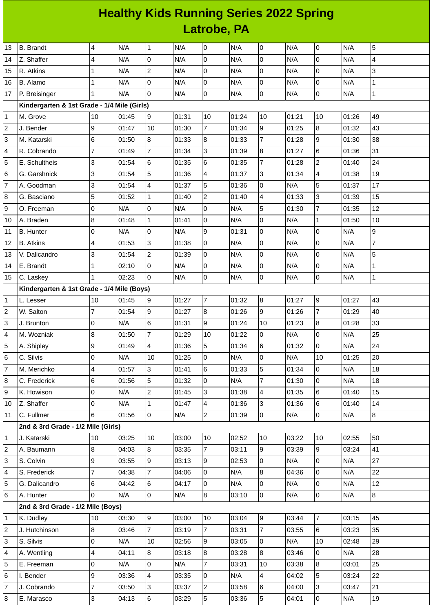## **Healthy Kids Running Series 2022 Spring Latrobe, PA**

| 13                      | <b>B.</b> Brandt                            | 4                       | N/A   | $\mathbf{1}$            | N/A   | O               | N/A   | 0              | N/A   | $\mathsf 0$      | N/A   | 5                       |
|-------------------------|---------------------------------------------|-------------------------|-------|-------------------------|-------|-----------------|-------|----------------|-------|------------------|-------|-------------------------|
| 14                      | Z. Shaffer                                  | 4                       | N/A   | $\overline{0}$          | N/A   | 0               | N/A   | 0              | N/A   | $\overline{0}$   | N/A   | $\overline{\mathbf{4}}$ |
| 15                      | R. Atkins                                   | 1                       | N/A   | $\mathbf{2}$            | N/A   | 0               | N/A   | $\mathsf{O}$   | N/A   | 0                | N/A   | 3                       |
| 16                      | B. Alamo                                    | $\mathbf{1}$            | N/A   | 0                       | N/A   | $\mathbf 0$     | N/A   | 0              | N/A   | $\mathbf 0$      | N/A   | $\mathbf{1}$            |
| 17                      | P. Breisinger                               | $\mathbf{1}$            | N/A   | $\mathsf{O}$            | N/A   | 0               | N/A   | 0              | N/A   | 0                | N/A   | $\mathbf 1$             |
|                         | Kindergarten & 1st Grade - 1/4 Mile (Girls) |                         |       |                         |       |                 |       |                |       |                  |       |                         |
| 1                       | M. Grove                                    | 10                      | 01:45 | l9                      | 01:31 | 10              | 01:24 | 10             | 01:21 | 10               | 01:26 | 49                      |
| $\mathbf 2$             | J. Bender                                   | 9                       | 01:47 | 10                      | 01:30 | $\overline{7}$  | 01:34 | 9              | 01:25 | $\boldsymbol{8}$ | 01:32 | 43                      |
| 3                       | M. Katarski                                 | $\,6$                   | 01:50 | 8                       | 01:33 | 8               | 01:33 | $\overline{7}$ | 01:28 | 9                | 01:30 | 38                      |
| 4                       | R. Cobrando                                 | $\overline{7}$          | 01:49 | $\overline{7}$          | 01:34 | 3               | 01:39 | 8              | 01:27 | 6                | 01:36 | 31                      |
| 5                       | E. Schultheis                               | 3                       | 01:54 | $\,6$                   | 01:35 | 6               | 01:35 | $\overline{7}$ | 01:28 | $\overline{c}$   | 01:40 | 24                      |
| 6                       | G. Garshnick                                | 3                       | 01:54 | 5                       | 01:36 | 4               | 01:37 | 3              | 01:34 | 4                | 01:38 | 19                      |
| 7                       | A. Goodman                                  | 3                       | 01:54 | 4                       | 01:37 | 5               | 01:36 | $\Omega$       | N/A   | 5                | 01:37 | 17                      |
| 8                       | G. Basciano                                 | 5                       | 01:52 | 1                       | 01:40 | 2               | 01:40 | 4              | 01:33 | 3                | 01:39 | 15                      |
| 9                       | O. Freeman                                  | $\mathsf 0$             | N/A   | 0                       | N/A   | $\overline{0}$  | N/A   | 5              | 01:30 | $\overline{7}$   | 01:35 | 12                      |
| 10                      | A. Braden                                   | 8                       | 01:48 | $\mathbf 1$             | 01:41 | 0               | N/A   | $\mathsf{O}$   | N/A   | $\mathbf{1}$     | 01:50 | 10                      |
| 11                      | <b>B.</b> Hunter                            | 0                       | N/A   | $\Omega$                | N/A   | 9               | 01:31 | 0              | N/A   | $\mathbf 0$      | N/A   | 9                       |
| 12                      | <b>B.</b> Atkins                            | $\overline{4}$          | 01:53 | 3                       | 01:38 | 0               | N/A   | 0              | N/A   | 0                | N/A   | $\overline{7}$          |
| 13                      | V. Dalicandro                               | 3                       | 01:54 | $\overline{c}$          | 01:39 | 0               | N/A   | 0              | N/A   | $\pmb{0}$        | N/A   | 5                       |
| 14                      | E. Brandt                                   | $\mathbf 1$             | 02:10 | 0                       | N/A   | 0               | N/A   | $\mathbf 0$    | N/A   | $\mathbf 0$      | N/A   | $\mathbf 1$             |
| 15                      | C. Laskey                                   | $\mathbf{1}$            | 02:23 | l0                      | N/A   | 0               | N/A   | 0              | N/A   | $\overline{0}$   | N/A   | $\mathbf{1}$            |
|                         | Kindergarten & 1st Grade - 1/4 Mile (Boys)  |                         |       |                         |       |                 |       |                |       |                  |       |                         |
| 1                       | L. Lesser                                   | 10                      | 01:45 | $\overline{9}$          | 01:27 | $\overline{7}$  | 01:32 | 8              | 01:27 | $\overline{9}$   | 01:27 | 43                      |
| $\mathbf 2$             | W. Salton                                   | $\overline{7}$          | 01:54 | 9                       | 01:27 | $\overline{8}$  | 01:26 | 9              | 01:26 | $\overline{7}$   | 01:29 | 40                      |
| 3                       | J. Brunton                                  | $\mathsf 0$             | N/A   | 6                       | 01:31 | 9               | 01:24 | 10             | 01:23 | $\bf{8}$         | 01:28 | 33                      |
| 4                       | M. Wozniak                                  | 8                       | 01:50 | $\overline{7}$          | 01:29 | 10              | 01:22 | 0              | N/A   | 0                | N/A   | 25                      |
| 5                       | A. Shipley                                  | 9                       | 01:49 | 4                       | 01:36 | 5               | 01:34 | 6              | 01:32 | 0                | N/A   | 24                      |
| 6                       | C. Silvis                                   | l0                      | N/A   | 10                      | 01:25 | $\mathbf 0$     | N/A   | $\overline{0}$ | N/A   | 10               | 01:25 | 20                      |
| $\overline{7}$          | M. Merichko                                 | $\overline{4}$          | 01:57 | 3                       | 01:41 | $6\overline{6}$ | 01:33 | 5              | 01:34 | $\overline{0}$   | N/A   | 18                      |
| 8                       | C. Frederick                                | 6                       | 01:56 | 5                       | 01:32 | 0               | N/A   | 7              | 01:30 | $\overline{0}$   | N/A   | 18                      |
| 9                       | K. Howison                                  | 0                       | N/A   | $\overline{c}$          | 01:45 | 3               | 01:38 | $\overline{4}$ | 01:35 | $6\phantom{a}$   | 01:40 | 15                      |
| 10                      | Z. Shaffer                                  | 0                       | N/A   | $\mathbf{1}$            | 01:47 | 4               | 01:36 | 3              | 01:36 | 6                | 01:40 | 14                      |
| 11                      | C. Fullmer                                  | 6                       | 01:56 | $\overline{0}$          | N/A   | $\overline{c}$  | 01:39 | $\overline{0}$ | N/A   | $\overline{0}$   | N/A   | $\bf{8}$                |
|                         | 2nd & 3rd Grade - 1/2 Mile (Girls)          |                         |       |                         |       |                 |       |                |       |                  |       |                         |
| $\mathbf 1$             | J. Katarski                                 | 10                      | 03:25 | 10                      | 03:00 | 10              | 02:52 | 10             | 03:22 | 10               | 02:55 | 50                      |
| $\overline{\mathbf{c}}$ | A. Baumann                                  | $\overline{8}$          | 04:03 | $8\,$                   | 03:35 | $\overline{7}$  | 03:11 | 9              | 03:39 | $\overline{9}$   | 03:24 | 41                      |
| 3                       | S. Colvin                                   | 9                       | 03:55 | 9                       | 03:13 | 9               | 02:53 | 0              | N/A   | $\overline{0}$   | N/A   | 27                      |
| 4                       | S. Frederick                                | $\overline{7}$          | 04:38 | 7                       | 04:06 | 0               | N/A   | 8              | 04:36 | $\overline{0}$   | N/A   | 22                      |
| 5                       | G. Dalicandro                               | 6                       | 04:42 | 6                       | 04:17 | $\mathbf 0$     | N/A   | 0              | N/A   | $\overline{0}$   | N/A   | 12                      |
| 6                       | A. Hunter                                   | $\overline{0}$          | N/A   | $\overline{0}$          | N/A   | 8               | 03:10 | l0             | N/A   | $\overline{0}$   | N/A   | 8                       |
|                         | 2nd & 3rd Grade - 1/2 Mile (Boys)           |                         |       |                         |       |                 |       |                |       |                  |       |                         |
| $\mathbf 1$             | K. Dudley                                   | 10                      | 03:30 | 9                       | 03:00 | 10              | 03:04 | 9              | 03:44 | $\overline{7}$   | 03:15 | 45                      |
| $\boldsymbol{2}$        | J. Hutchinson                               | 8                       | 03:46 | $\overline{7}$          | 03:19 | $\overline{7}$  | 03:31 | $\overline{7}$ | 03:55 | 6                | 03:23 | 35                      |
| 3                       | S. Silvis                                   | $\mathsf 0$             | N/A   | $10\,$                  | 02:56 | 9               | 03:05 | 0              | N/A   | 10               | 02:48 | 29                      |
| 4                       | A. Wentling                                 | $\overline{\mathbf{4}}$ | 04:11 | $8\,$                   | 03:18 | 8               | 03:28 | 8              | 03:46 | $\overline{0}$   | N/A   | 28                      |
| 5                       | E. Freeman                                  | 0                       | N/A   | 0                       | N/A   | 7               | 03:31 | 10             | 03:38 | 8                | 03:01 | 25                      |
| 6                       | I. Bender                                   | 9                       | 03:36 | $\overline{\mathbf{4}}$ | 03:35 | 0               | N/A   | 4              | 04:02 | 5                | 03:24 | 22                      |
| $\overline{7}$          | J. Cobrando                                 | $\overline{7}$          | 03:50 | 3                       | 03:37 | $\overline{c}$  | 03:58 | 6              | 04:00 | 3                | 03:47 | 21                      |
| 8                       | E. Marasco                                  | 3                       | 04:13 | $6\phantom{a}$          | 03:29 | 5               | 03:36 | 5              | 04:01 | O                | N/A   | 19                      |